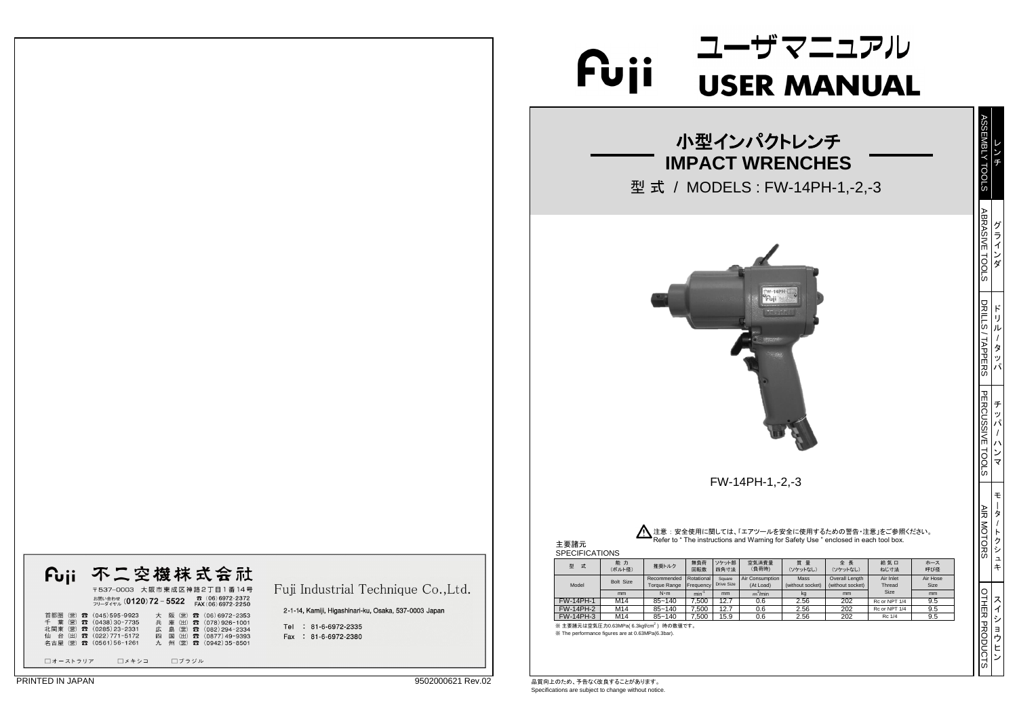## ユーザマニュアル Fuji USER MANUAL

※ 主要諸元は空気圧力0.63MPa( 6.3kgf/cm<sup>2</sup>) 時の数値です。 ※ The performance figures are at 0.63MPa(6.3bar).

| Fuji | 不二空機株式会社                                                                                     |
|------|----------------------------------------------------------------------------------------------|
|      | 〒537-0003 大阪市東成区神路2丁目1番14号<br>雷 (06) 6972-2372<br>お問い合わせ (0120)72-5522<br>FAX (06) 6972-2250 |

首都圏(営)<br>公司(営)公司(1438)30-7735 大阪(営)公司(06)6972-2353<br>北関東(営)公司(0285)23-2331 広島(営)公司(082)294-2334<br>仙台(出)公司(022)771-5172 四国(出)公司(0877)49-9393<br>名古屋(営)公司(0561)56-1261 九州(営)公司(0942)35-8501 □オーストラリア □メキシコ □ブラジル

Fuji Industrial Technique Co., Ltd.

2-1-14, Kamiji, Higashinari-ku, Osaka, 537-0003 Japan

Tel : 81-6-6972-2335 Fax: 81-6-6972-2380

■ PRINTED IN JAPAN 2012 20000621 Rev.02 ■ 日本のことがあります。 Specifications are subject to change without notice.

|    | 小型インパクトレンチ<br><b>IMPACT WRENCHES</b><br>型式 / MODELS : FW-14PH-1,-2,-3                                                                                  |                                                                  |                                                    |                                                                 |                                                        |                                                                                                                                                          |                                                                         |                                             |  |                       |                                        |  |
|----|--------------------------------------------------------------------------------------------------------------------------------------------------------|------------------------------------------------------------------|----------------------------------------------------|-----------------------------------------------------------------|--------------------------------------------------------|----------------------------------------------------------------------------------------------------------------------------------------------------------|-------------------------------------------------------------------------|---------------------------------------------|--|-----------------------|----------------------------------------|--|
|    |                                                                                                                                                        |                                                                  |                                                    |                                                                 |                                                        |                                                                                                                                                          |                                                                         |                                             |  | <b>ABRASIVE TOOLS</b> | グラインダ                                  |  |
|    |                                                                                                                                                        |                                                                  |                                                    | 经价格<br>WEST TREE                                                |                                                        |                                                                                                                                                          |                                                                         |                                             |  | DRILLS/TAPPERS        | $\mathbf{r}$<br>IJ<br>ル<br>タ<br>ッ<br>パ |  |
|    |                                                                                                                                                        |                                                                  |                                                    |                                                                 |                                                        |                                                                                                                                                          |                                                                         |                                             |  |                       | チ<br>ッパ<br>$\lambda$<br>ンマ             |  |
| 5) | 推奨トルク                                                                                                                                                  | 無負荷<br>回転数                                                       | ソケット部<br>四角寸法                                      | FW-14PH-1,-2,-3<br>空気消費量<br>(負荷時)                               | 質量<br>(ソケットなし)                                         | 注意 : 安全使用に関しては、「エアツールを安全に使用するための警告・注意」をご参照ください。<br>Refer to " The instructions and Warning for Safety Use " enclosed in each tool box.<br>全長<br>(ソケットなし) | 給気口<br>ねじ寸法                                                             | ホース<br>呼び径                                  |  | AIR MOTORS            | Ŧ<br>タ<br>$\vdash$<br>クシュ<br>キ         |  |
| е  | Recommended<br><b>Torque Range</b><br>$N \cdot m$<br>$85 - 140$<br>$85 - 140$<br>$85 - 140$<br>6.3kgf/cm <sup>2</sup> ) 時の数値です。<br>at 0.63MPa(6.3bar). | Rotational<br>Frequency<br>$min^{-1}$<br>7,500<br>7,500<br>7,500 | Square<br>Drive Size<br>mm<br>12.7<br>12.7<br>15.9 | Air Consumption<br>(At Load)<br>$m^3/m$ in<br>0.6<br>0.6<br>0.6 | Mass<br>(without socket)<br>kg<br>2.56<br>2.56<br>2.56 | Overall Length<br>(without socket)<br>mm<br>202<br>202<br>202                                                                                            | Air Inlet<br>Thread<br>Size<br>Rc or NPT 1/4<br>Rc or NPT 1/4<br>Rc 1/4 | Air Hose<br>Size<br>mm<br>9.5<br>9.5<br>9.5 |  | OTHER PRODUCTS        | ス<br>$\blacktriangleleft$<br>シ<br>ョウヒン |  |

7 **ABC** 

| <b>SPECIFICATIONS</b> |              |                                                                       |            |                      |                              |                          |                                    |                     |                |
|-----------------------|--------------|-----------------------------------------------------------------------|------------|----------------------|------------------------------|--------------------------|------------------------------------|---------------------|----------------|
| 型<br>式                | 能力<br>(ボルト径) | 推奨トルク                                                                 | 無負荷<br>回転数 | ソケット部<br>四角寸法        | 空気消費量<br>(負荷時)               | 質 量<br>(ソケットなし)          | 全長<br>(ソケットなし)                     | 給気口<br>ねじ寸法         | ホーン<br>呼び名     |
| Model                 | Bolt Size    | Rotational<br>Recommended<br><b>IFrequency</b><br><b>Torque Range</b> |            | Square<br>Drive Size | Air Consumption<br>(At Load) | Mass<br>(without socket) | Overall Length<br>(without socket) | Air Inlet<br>Thread | Air Ho<br>Size |
|                       | mm           | $N \cdot m$                                                           | $min^{-1}$ | mm                   | $m^3/m$ in                   | kg                       | mm                                 | <b>Size</b>         | mm             |
| <b>FW-14PH-1</b>      | M14          | $85 - 140$                                                            | 7,500      | 12.7                 | 0.6                          | 2.56                     | 202                                | Rc or NPT 1/4       | 9.5            |
| <b>FW-14PH-2</b>      | M14          | $85 - 140$                                                            | 7,500      | 12.7                 | 0.6                          | 2.56                     | 202                                | Rc or NPT 1/4       | 9.5            |
| <b>FW-14PH-3</b>      | M14          | $85 - 140$                                                            | 7.500      | 15.9                 | 0.6                          | 2.56                     | 202                                | Rc 1/4              | 9.5            |



主要諸元